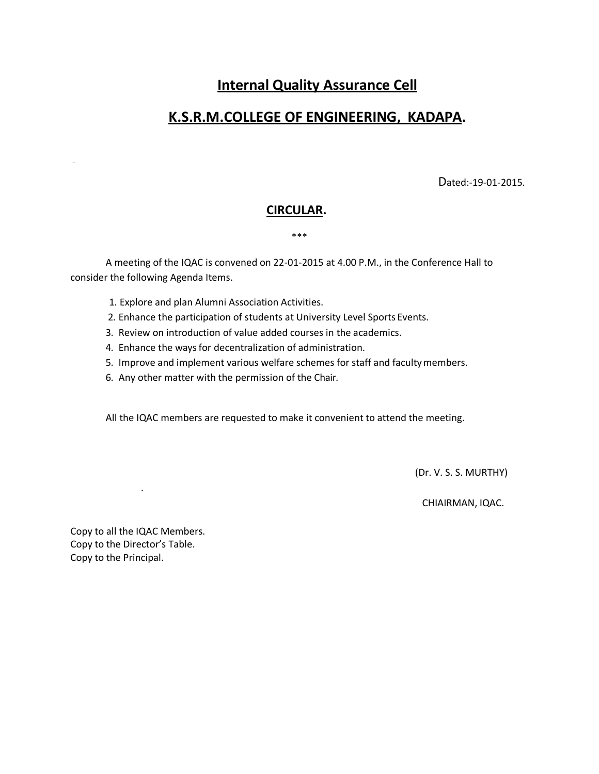# **Internal Quality Assurance Cell**

# **K.S.R.M.COLLEGE OF ENGINEERING, KADAPA.**

Dated:-19-01-2015.

### **CIRCULAR.**

#### \*\*\*

A meeting of the IQAC is convened on 22-01-2015 at 4.00 P.M., in the Conference Hall to consider the following Agenda Items.

- 1. Explore and plan Alumni Association Activities.
- 2. Enhance the participation of students at University Level Sports Events.
- 3. Review on introduction of value added courses in the academics.
- 4. Enhance the ways for decentralization of administration.
- 5. Improve and implement various welfare schemes for staff and facultymembers.
- 6. Any other matter with the permission of the Chair.

All the IQAC members are requested to make it convenient to attend the meeting.

(Dr. V. S. S. MURTHY)

CHIAIRMAN, IQAC.

Copy to all the IQAC Members. Copy to the Director's Table. Copy to the Principal.

.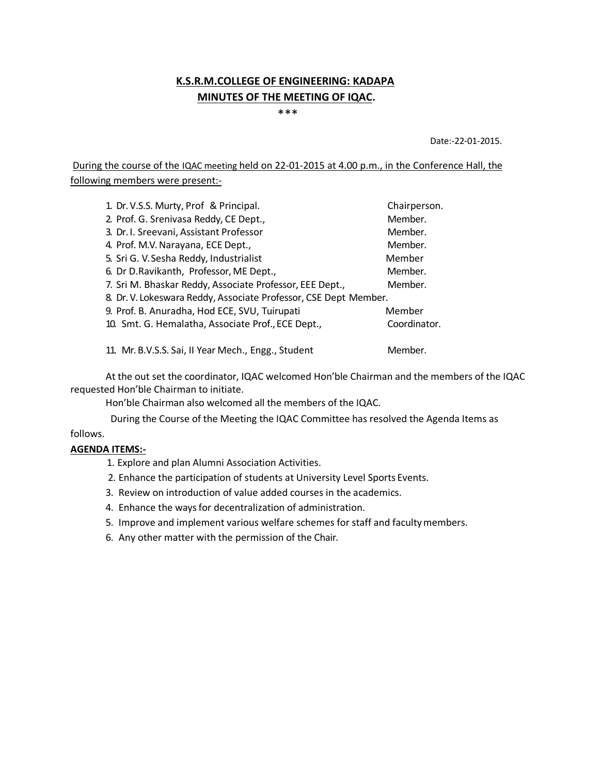## **K.S.R.M.COLLEGE OF ENGINEERING: KADAPA MINUTES OF THE MEETING OF IQAC.**

\*\*\*\*

Date:-22-01-2015.

During the course of the IQAC meeting held on 22-01-2015 at 4.00 p.m., in the Conference Hall, the following members were present:-

| 1. Dr. V.S.S. Murty, Prof & Principal.                           | Chairperson. |
|------------------------------------------------------------------|--------------|
| 2. Prof. G. Srenivasa Reddy, CE Dept.,                           | Member.      |
| 3. Dr. I. Sreevani, Assistant Professor                          | Member.      |
| 4. Prof. M.V. Narayana, ECE Dept.,                               | Member.      |
| 5. Sri G. V. Sesha Reddy, Industrialist                          | Member       |
| 6. Dr D.Ravikanth, Professor, ME Dept.,                          | Member.      |
| 7. Sri M. Bhaskar Reddy, Associate Professor, EEE Dept.,         | Member.      |
| 8. Dr. V. Lokeswara Reddy, Associate Professor, CSE Dept Member. |              |
| 9. Prof. B. Anuradha, Hod ECE, SVU, Tuirupati                    | Member       |
| 10. Smt. G. Hemalatha, Associate Prof., ECE Dept.,               | Coordinator. |
|                                                                  |              |

11. Mr. B.V.S.S. Sai, II Year Mech., Engg., Student Member.

At the out set the coordinator, IQAC welcomed Hon'ble Chairman and the members of the IQAC requested Hon'ble Chairman to initiate.

Hon'ble Chairman also welcomed all the members of the IQAC.

During the Course of the Meeting the IQAC Committee has resolved the Agenda Items as

### follows.

### **AGENDA ITEMS:-**

- 1. Explore and plan Alumni Association Activities.
- 2. Enhance the participation of students at University Level Sports Events.
- 3. Review on introduction of value added courses in the academics.
- 4. Enhance the ways for decentralization of administration.
- 5. Improve and implement various welfare schemes for staff and facultymembers.
- 6. Any other matter with the permission of the Chair.